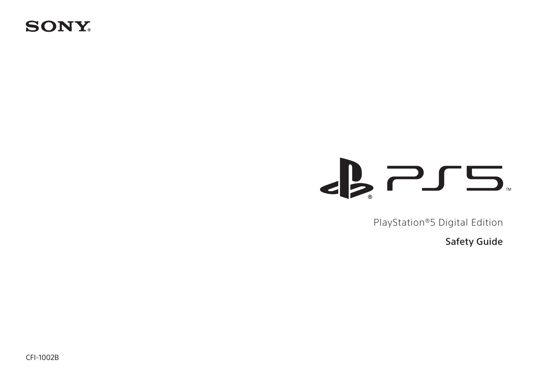# **SONY**

# $\epsilon$   $\approx$   $\epsilon$

PlayStation®5 Digital Edition

Safety Guide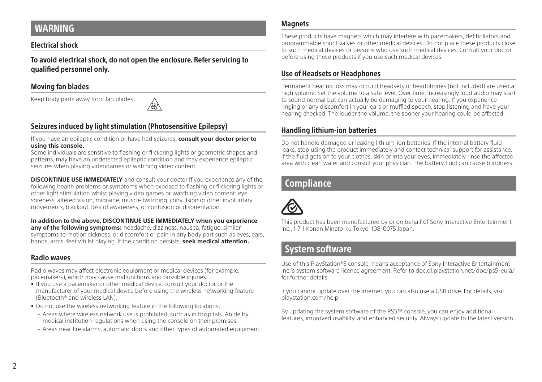# <span id="page-1-0"></span>WARNING

## Electrical shock

To avoid electrical shock, do not open the enclosure. Refer servicing to qualified personnel only.

## Moving fan blades

Keep body parts away from fan blades.



## Seizures induced by light stimulation (Photosensitive Epilepsy)

If you have an epileptic condition or have had seizures, **consult your doctor prior to using this console.** 

Some individuals are sensitive to flashing or flickering lights or geometric shapes and patterns, may have an undetected epileptic condition and may experience epileptic seizures when playing videogames or watching video content.

**DISCONTINUE USE IMMEDIATELY** and consult your doctor if you experience any of the following health problems or symptoms when exposed to flashing or flickering lights or other light stimulation whilst playing video games or watching video content: eye soreness, altered vision, migraine, muscle twitching, convulsion or other involuntary movements, blackout, loss of awareness, or confusion or disorientation.

**In addition to the above, DISCONTINUE USE IMMEDIATELY when you experience any of the following symptoms:** headache, dizziness, nausea, fatigue, similar symptoms to motion sickness, or discomfort or pain in any body part such as eyes, ears, hands, arms, feet whilst playing. If the condition persists, **seek medical attention.**

## Radio waves

Radio waves may affect electronic equipment or medical devices (for example, pacemakers), which may cause malfunctions and possible injuries.

- If you use a pacemaker or other medical device, consult your doctor or the manufacturer of your medical device before using the wireless networking feature (Bluetooth® and wireless LAN).
- Do not use the wireless networking feature in the following locations:
	- Areas where wireless network use is prohibited, such as in hospitals. Abide by medical institution regulations when using the console on their premises.
	- Areas near fire alarms, automatic doors and other types of automated equipment.

## **Magnets**

These products have magnets which may interfere with pacemakers, defibrillators and programmable shunt valves or other medical devices. Do not place these products close to such medical devices or persons who use such medical devices. Consult your doctor before using these products if you use such medical devices.

## Use of Headsets or Headphones

Permanent hearing loss may occur if headsets or headphones (not included) are used at high volume. Set the volume to a safe level. Over time, increasingly loud audio may start to sound normal but can actually be damaging to your hearing. If you experience ringing or any discomfort in your ears or muffled speech, stop listening and have your hearing checked. The louder the volume, the sooner your hearing could be affected.

## Handling lithium-ion batteries

Do not handle damaged or leaking lithium-ion batteries. If the internal battery fluid leaks, stop using the product immediately and contact technical support for assistance. If the fluid gets on to your clothes, skin or into your eyes, immediately rinse the affected area with clean water and consult your physician. The battery fluid can cause blindness.

# **Compliance**



This product has been manufactured by or on behalf of Sony Interactive Entertainment Inc., 1-7-1 Konan Minato-ku Tokyo, 108-0075 Japan.

# System software

Use of this PlayStation®5 console means acceptance of Sony Interactive Entertainment Inc.'s system software licence agreement. Refer to doc.dl.playstation.net/doc/ps5-eula/ for further details.

If you cannot update over the internet, you can also use a USB drive. For details, visit playstation.com/help.

By updating the system software of the PS5™ console, you can enjoy additional features, improved usability, and enhanced security. Always update to the latest version.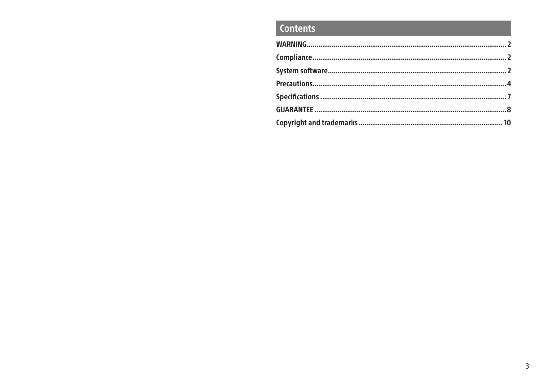# **Contents**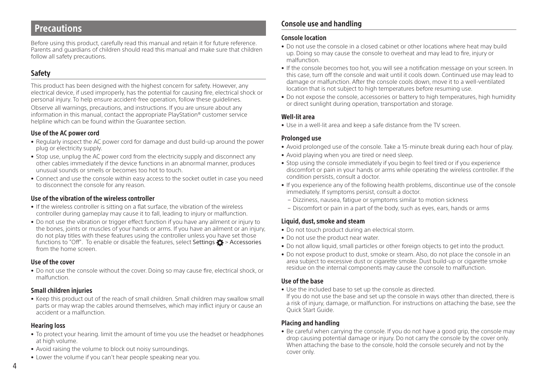## <span id="page-3-0"></span>Precautions

Before using this product, carefully read this manual and retain it for future reference. Parents and guardians of children should read this manual and make sure that children follow all safety precautions.

## Safety

This product has been designed with the highest concern for safety. However, any electrical device, if used improperly, has the potential for causing fire, electrical shock or personal injury. To help ensure accident-free operation, follow these guidelines.

Observe all warnings, precautions, and instructions. If you are unsure about any information in this manual, contact the appropriate PlayStation® customer service helpline which can be found within the Guarantee section.

## Use of the AC power cord

- Regularly inspect the AC power cord for damage and dust build-up around the power plug or electricity supply.
- Stop use, unplug the AC power cord from the electricity supply and disconnect any other cables immediately if the device functions in an abnormal manner, produces unusual sounds or smells or becomes too hot to touch.
- Connect and use the console within easy access to the socket outlet in case you need to disconnect the console for any reason.

## Use of the vibration of the wireless controller

- If the wireless controller is sitting on a flat surface, the vibration of the wireless controller during gameplay may cause it to fall, leading to injury or malfunction.
- Do not use the vibration or trigger effect function if you have any ailment or injury to the bones, joints or muscles of your hands or arms. If you have an ailment or an injury, do not play titles with these features using the controller unless you have set those functions to "Off". To enable or disable the features, select Settings  $\bullet$  > Accessories from the home screen.

#### Use of the cover

• Do not use the console without the cover. Doing so may cause fire, electrical shock, or malfunction.

## Small children injuries

• Keep this product out of the reach of small children. Small children may swallow small parts or may wrap the cables around themselves, which may inflict injury or cause an accident or a malfunction.

## Hearing loss

- To protect your hearing. limit the amount of time you use the headset or headphones at high volume.
- Avoid raising the volume to block out noisy surroundings.
- Lower the volume if you can't hear people speaking near you.

## Console use and handling

#### Console location

- Do not use the console in a closed cabinet or other locations where heat may build up. Doing so may cause the console to overheat and may lead to fire, injury or malfunction.
- If the console becomes too hot, you will see a notification message on your screen. In this case, turn off the console and wait until it cools down. Continued use may lead to damage or malfunction. After the console cools down, move it to a well-ventilated location that is not subject to high temperatures before resuming use.
- Do not expose the console, accessories or battery to high temperatures, high humidity or direct sunlight during operation, transportation and storage.

## Well-lit area

• Use in a well-lit area and keep a safe distance from the TV screen.

#### Prolonged use

- Avoid prolonged use of the console. Take a 15-minute break during each hour of play.
- Avoid playing when you are tired or need sleep.
- Stop using the console immediately if you begin to feel tired or if you experience discomfort or pain in your hands or arms while operating the wireless controller. If the condition persists, consult a doctor.
- If you experience any of the following health problems, discontinue use of the console immediately. If symptoms persist, consult a doctor.
	- Dizziness, nausea, fatigue or symptoms similar to motion sickness
	- Discomfort or pain in a part of the body, such as eyes, ears, hands or arms

## Liquid, dust, smoke and steam

- Do not touch product during an electrical storm.
- Do not use the product near water.
- Do not allow liquid, small particles or other foreign objects to get into the product.
- Do not expose product to dust, smoke or steam. Also, do not place the console in an area subject to excessive dust or cigarette smoke. Dust build-up or cigarette smoke residue on the internal components may cause the console to malfunction.

## Use of the base

- Use the included base to set up the console as directed.
- If you do not use the base and set up the console in ways other than directed, there is a risk of injury, damage, or malfunction. For instructions on attaching the base, see the Quick Start Guide.

## Placing and handling

• Be careful when carrying the console. If you do not have a good grip, the console may drop causing potential damage or injury. Do not carry the console by the cover only. When attaching the base to the console, hold the console securely and not by the cover only.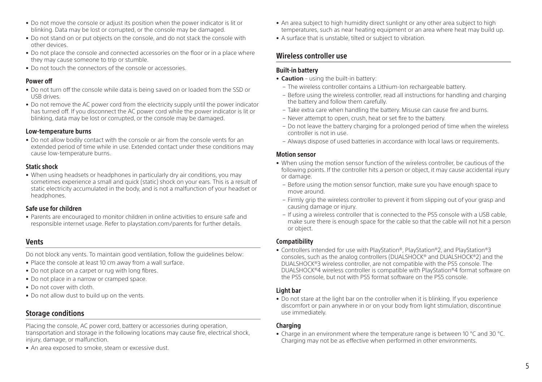- Do not move the console or adjust its position when the power indicator is lit or blinking. Data may be lost or corrupted, or the console may be damaged.
- Do not stand on or put objects on the console, and do not stack the console with other devices.
- Do not place the console and connected accessories on the floor or in a place where they may cause someone to trip or stumble.
- Do not touch the connectors of the console or accessories.

## Power off

- Do not turn off the console while data is being saved on or loaded from the SSD or USB drives.
- Do not remove the AC power cord from the electricity supply until the power indicator has turned off. If you disconnect the AC power cord while the power indicator is lit or blinking, data may be lost or corrupted, or the console may be damaged.

#### Low-temperature burns

• Do not allow bodily contact with the console or air from the console vents for an extended period of time while in use. Extended contact under these conditions may cause low-temperature burns.

## Static shock

• When using headsets or headphones in particularly dry air conditions, you may sometimes experience a small and quick (static) shock on your ears. This is a result of static electricity accumulated in the body, and is not a malfunction of your headset or headphones.

## Safe use for children

• Parents are encouraged to monitor children in online activities to ensure safe and responsible internet usage. Refer to playstation.com/parents for further details.

## Vents

Do not block any vents. To maintain good ventilation, follow the guidelines below:

- Place the console at least 10 cm away from a wall surface.
- Do not place on a carpet or rug with long fibres.
- Do not place in a narrow or cramped space.
- Do not cover with cloth.
- Do not allow dust to build up on the vents.

## Storage conditions

Placing the console, AC power cord, battery or accessories during operation, transportation and storage in the following locations may cause fire, electrical shock, injury, damage, or malfunction.

• An area exposed to smoke, steam or excessive dust.

- An area subject to high humidity direct sunlight or any other area subject to high temperatures, such as near heating equipment or an area where heat may build up.
- A surface that is unstable, tilted or subject to vibration.

## Wireless controller use

## Built-in battery

- **Caution** using the built-in battery:
	- The wireless controller contains a Lithium-Ion rechargeable battery.
	- Before using the wireless controller, read all instructions for handling and charging the battery and follow them carefully.
	- Take extra care when handling the battery. Misuse can cause fire and burns.
	- Never attempt to open, crush, heat or set fire to the battery.
	- Do not leave the battery charging for a prolonged period of time when the wireless controller is not in use.
	- Always dispose of used batteries in accordance with local laws or requirements.

## Motion sensor

- When using the motion sensor function of the wireless controller, be cautious of the following points. If the controller hits a person or object, it may cause accidental injury or damage.
	- Before using the motion sensor function, make sure you have enough space to move around.
- Firmly grip the wireless controller to prevent it from slipping out of your grasp and causing damage or injury.
- If using a wireless controller that is connected to the PS5 console with a USB cable, make sure there is enough space for the cable so that the cable will not hit a person or object.

## Compatibility

• Controllers intended for use with PlayStation®, PlayStation®2, and PlayStation®3 consoles, such as the analog controllers (DUALSHOCK® and DUALSHOCK®2) and the DUALSHOCK®3 wireless controller, are not compatible with the PS5 console. The DUALSHOCK®4 wireless controller is compatible with PlayStation®4 format software on the PS5 console, but not with PS5 format software on the PS5 console.

## Light bar

• Do not stare at the light bar on the controller when it is blinking. If you experience discomfort or pain anywhere in or on your body from light stimulation, discontinue use immediately.

## Charging

• Charge in an environment where the temperature range is between 10 °C and 30 °C. Charging may not be as effective when performed in other environments.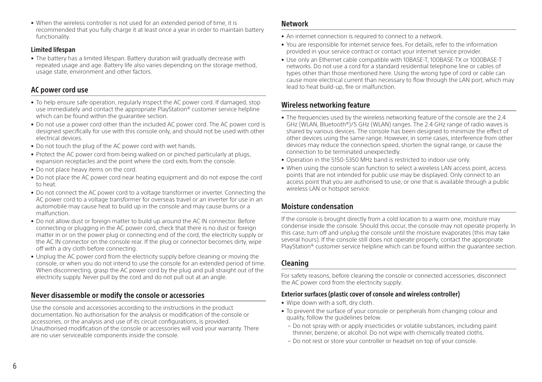• When the wireless controller is not used for an extended period of time, it is recommended that you fully charge it at least once a year in order to maintain battery functionality.

#### Limited lifespan

• The battery has a limited lifespan. Battery duration will gradually decrease with repeated usage and age. Battery life also varies depending on the storage method, usage state, environment and other factors.

## AC power cord use

- To help ensure safe operation, regularly inspect the AC power cord. If damaged, stop use immediately and contact the appropriate PlayStation® customer service helpline which can be found within the guarantee section.
- Do not use a power cord other than the included AC power cord. The AC power cord is designed specifically for use with this console only, and should not be used with other electrical devices.
- Do not touch the plug of the AC power cord with wet hands.
- Protect the AC power cord from being walked on or pinched particularly at plugs, expansion receptacles and the point where the cord exits from the console.
- Do not place heavy items on the cord.
- Do not place the AC power cord near heating equipment and do not expose the cord to heat.
- Do not connect the AC power cord to a voltage transformer or inverter. Connecting the AC power cord to a voltage transformer for overseas travel or an inverter for use in an automobile may cause heat to build up in the console and may cause burns or a malfunction.
- Do not allow dust or foreign matter to build up around the AC IN connector. Before connecting or plugging in the AC power cord, check that there is no dust or foreign matter in or on the power plug or connecting end of the cord, the electricity supply or the AC IN connector on the console rear. If the plug or connector becomes dirty, wipe off with a dry cloth before connecting.
- Unplug the AC power cord from the electricity supply before cleaning or moving the console, or when you do not intend to use the console for an extended period of time. When disconnecting, grasp the AC power cord by the plug and pull straight out of the electricity supply. Never pull by the cord and do not pull out at an angle.

## Never disassemble or modify the console or accessories

Use the console and accessories according to the instructions in the product documentation. No authorisation for the analysis or modification of the console or accessories, or the analysis and use of its circuit configurations, is provided. Unauthorised modification of the console or accessories will void your warranty. There are no user serviceable components inside the console.

## Network

- An internet connection is required to connect to a network.
- You are responsible for internet service fees. For details, refer to the information provided in your service contract or contact your internet service provider.
- Use only an Ethernet cable compatible with 10BASE-T, 100BASE-TX or 1000BASE-T networks. Do not use a cord for a standard residential telephone line or cables of types other than those mentioned here. Using the wrong type of cord or cable can cause more electrical current than necessary to flow through the LAN port, which may lead to heat build-up, fire or malfunction.

## Wireless networking feature

- The frequencies used by the wireless networking feature of the console are the 2.4 GHz (WLAN, Bluetooth®)/5 GHz (WLAN) ranges. The 2.4 GHz range of radio waves is shared by various devices. The console has been designed to minimize the effect of other devices using the same range. However, in some cases, interference from other devices may reduce the connection speed, shorten the signal range, or cause the connection to be terminated unexpectedly.
- Operation in the 5150-5350 MHz band is restricted to indoor use only.
- When using the console scan function to select a wireless LAN access point, access points that are not intended for public use may be displayed. Only connect to an access point that you are authorised to use, or one that is available through a public wireless LAN or hotspot service.

## Moisture condensation

If the console is brought directly from a cold location to a warm one, moisture may condense inside the console. Should this occur, the console may not operate properly. In this case, turn off and unplug the console until the moisture evaporates (this may take several hours). If the console still does not operate properly, contact the appropriate PlayStation® customer service helpline which can be found within the guarantee section.

## Cleaning

For safety reasons, before cleaning the console or connected accessories, disconnect the AC power cord from the electricity supply.

## Exterior surfaces (plastic cover of console and wireless controller)

- Wipe down with a soft, dry cloth.
- To prevent the surface of your console or peripherals from changing colour and quality, follow the guidelines below.
	- Do not spray with or apply insecticides or volatile substances, including paint thinner, benzene, or alcohol. Do not wipe with chemically treated cloths.
- Do not rest or store your controller or headset on top of your console.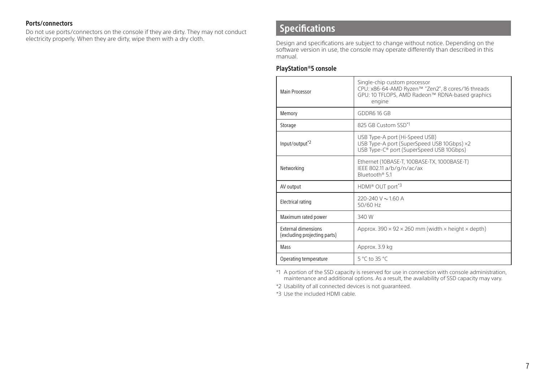## <span id="page-6-0"></span>Ports/connectors

Do not use ports/connectors on the console if they are dirty. They may not conduct electricity properly. When they are dirty, wipe them with a dry cloth.

## Specifications

Design and specifications are subject to change without notice. Depending on the software version in use, the console may operate differently than described in this manual.

## PlayStation®5 console

| Main Processor                                             | Single-chip custom processor<br>CPU: x86-64-AMD Ryzen™ "Zen2", 8 cores/16 threads<br>GPU: 10 TFLOPS, AMD Radeon™ RDNA-based graphics<br>engine |
|------------------------------------------------------------|------------------------------------------------------------------------------------------------------------------------------------------------|
| Memory                                                     | GDDR6 16 GB                                                                                                                                    |
| Storage                                                    | 825 GB Custom SSD*1                                                                                                                            |
| Input/output <sup>*2</sup>                                 | USB Type-A port (Hi-Speed USB)<br>USB Type-A port (SuperSpeed USB 10Gbps) ×2<br>USB Type-C® port (SuperSpeed USB 10Gbps)                       |
| Networking                                                 | Ethernet (10BASE-T, 100BASE-TX, 1000BASE-T)<br>IEEE 802.11 a/b/g/n/ac/ax<br>Bluetooth® 5.1                                                     |
| AV output                                                  | HDMI® OUT port*3                                                                                                                               |
| <b>Electrical rating</b>                                   | 220-240 V $\sim$ 1.60 A<br>50/60 Hz                                                                                                            |
| Maximum rated power                                        | 340 W                                                                                                                                          |
| <b>External dimensions</b><br>(excluding projecting parts) | Approx. $390 \times 92 \times 260$ mm (width $\times$ height $\times$ depth)                                                                   |
| Mass                                                       | Approx. 3.9 kg                                                                                                                                 |
| Operating temperature                                      | 5 °C to 35 °C                                                                                                                                  |

\*1 A portion of the SSD capacity is reserved for use in connection with console administration, maintenance and additional options. As a result, the availability of SSD capacity may vary.

\*2 Usability of all connected devices is not guaranteed.

\*3 Use the included HDMI cable.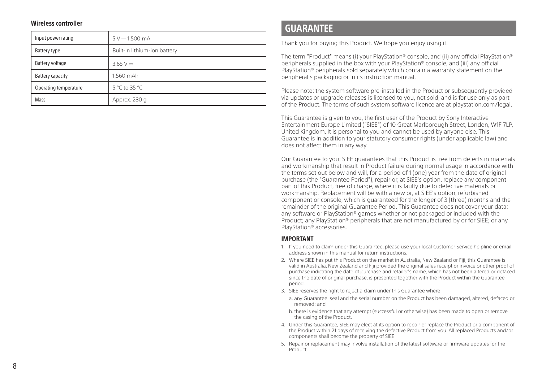#### <span id="page-7-0"></span>Wireless controller

| Input power rating    | $5 V - 1,500 mA$             |
|-----------------------|------------------------------|
| Battery type          | Built-in lithium-ion battery |
| Battery voltage       | $3.65 V -$                   |
| Battery capacity      | 1.560 mAh                    |
| Operating temperature | 5 °C to 35 °C                |
| Mass                  | Approx. 280 g                |

## GUARANTEE

Thank you for buying this Product. We hope you enjoy using it.

The term "Product" means (i) your PlayStation® console, and (ii) any official PlayStation® peripherals supplied in the box with your PlayStation® console, and (iii) any official PlayStation® peripherals sold separately which contain a warranty statement on the peripheral's packaging or in its instruction manual.

Please note: the system software pre-installed in the Product or subsequently provided via updates or upgrade releases is licensed to you, not sold, and is for use only as part of the Product. The terms of such system software licence are at playstation.com/legal.

This Guarantee is given to you, the first user of the Product by Sony Interactive Entertainment Europe Limited ("SIEE") of 10 Great Marlborough Street, London, W1F 7LP, United Kingdom. It is personal to you and cannot be used by anyone else. This Guarantee is in addition to your statutory consumer rights (under applicable law) and does not affect them in any way.

Our Guarantee to you: SIEE guarantees that this Product is free from defects in materials and workmanship that result in Product failure during normal usage in accordance with the terms set out below and will, for a period of 1 (one) year from the date of original purchase (the "Guarantee Period"), repair or, at SIEE's option, replace any component part of this Product, free of charge, where it is faulty due to defective materials or workmanship. Replacement will be with a new or, at SIEE's option, refurbished component or console, which is guaranteed for the longer of 3 (three) months and the remainder of the original Guarantee Period. This Guarantee does not cover your data; any software or PlayStation® games whether or not packaged or included with the Product; any PlayStation® peripherals that are not manufactured by or for SIEE; or any PlayStation® accessories.

#### IMPORTANT

- 1. If you need to claim under this Guarantee, please use your local Customer Service helpline or email address shown in this manual for return instructions.
- 2. Where SIEE has put this Product on the market in Australia, New Zealand or Fiji, this Guarantee is valid in Australia, New Zealand and Fiji provided the original sales receipt or invoice or other proof of purchase indicating the date of purchase and retailer's name, which has not been altered or defaced since the date of original purchase, is presented together with the Product within the Guarantee period.
- 3. SIEE reserves the right to reject a claim under this Guarantee where:
	- a. any Guarantee seal and the serial number on the Product has been damaged, altered, defaced or removed; and
	- b. there is evidence that any attempt (successful or otherwise) has been made to open or remove the casing of the Product.
- 4. Under this Guarantee, SIEE may elect at its option to repair or replace the Product or a component of the Product within 21 days of receiving the defective Product from you. All replaced Products and/or components shall become the property of SIEE.
- 5. Repair or replacement may involve installation of the latest software or firmware updates for the Product.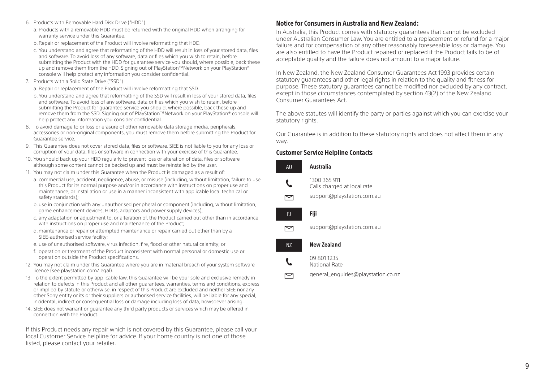- 6. Products with Removable Hard Disk Drive ("HDD")
	- a. Products with a removable HDD must be returned with the original HDD when arranging for warranty service under this Guarantee.
	- b. Repair or replacement of the Product will involve reformatting that HDD.
	- c. You understand and agree that reformatting of the HDD will result in loss of your stored data, files and software. To avoid loss of any software, data or files which you wish to retain, before submitting the Product with the HDD for guarantee service you should, where possible, back these up and remove them from the HDD. Signing out of PlayStation™Network on your PlayStation® console will help protect any information you consider confidential.
- 7. Products with a Solid State Drive ("SSD")
	- a. Repair or replacement of the Product will involve reformatting that SSD.
	- b. You understand and agree that reformatting of the SSD will result in loss of your stored data, files and software. To avoid loss of any software, data or files which you wish to retain, before submitting the Product for guarantee service you should, where possible, back these up and remove them from the SSD. Signing out of PlayStation™Network on your PlayStation® console will help protect any information you consider confidential.
- 8. To avoid damage to or loss or erasure of other removable data storage media, peripherals, accessories or non-original components, you must remove them before submitting the Product for Guarantee service.
- 9. This Guarantee does not cover stored data, files or software. SIEE is not liable to you for any loss or corruption of your data, files or software in connection with your exercise of this Guarantee.
- 10. You should back up your HDD regularly to prevent loss or alteration of data, files or software although some content cannot be backed up and must be reinstalled by the user.
- 11. You may not claim under this Guarantee when the Product is damaged as a result of:
	- a. commercial use, accident, negligence, abuse, or misuse (including, without limitation, failure to use this Product for its normal purpose and/or in accordance with instructions on proper use and maintenance, or installation or use in a manner inconsistent with applicable local technical or safety standards);
	- b. use in conjunction with any unauthorised peripheral or component (including, without limitation, game enhancement devices, HDDs, adaptors and power supply devices);
	- c. any adaptation or adjustment to, or alteration of, the Product carried out other than in accordance with instructions on proper use and maintenance of the Product;
	- d. maintenance or repair or attempted maintenance or repair carried out other than by a SIEE-authorised service facility;
	- e. use of unauthorised software, virus infection, fire, flood or other natural calamity; or
	- f. operation or treatment of the Product inconsistent with normal personal or domestic use or operation outside the Product specifications.
- 12. You may not claim under this Guarantee where you are in material breach of your system software licence (see playstation.com/legal).
- 13. To the extent permitted by applicable law, this Guarantee will be your sole and exclusive remedy in relation to defects in this Product and all other guarantees, warranties, terms and conditions, express or implied by statute or otherwise, in respect of this Product are excluded and neither SIEE nor any other Sony entity or its or their suppliers or authorised service facilities, will be liable for any special, incidental, indirect or consequential loss or damage including loss of data, howsoever arising.
- 14. SIEE does not warrant or guarantee any third party products or services which may be offered in connection with the Product.

If this Product needs any repair which is not covered by this Guarantee, please call your local Customer Service helpline for advice. If your home country is not one of those listed, please contact your retailer.

## Notice for Consumers in Australia and New Zealand:

In Australia, this Product comes with statutory guarantees that cannot be excluded under Australian Consumer Law. You are entitled to a replacement or refund for a major failure and for compensation of any other reasonably foreseeable loss or damage. You are also entitled to have the Product repaired or replaced if the Product fails to be of acceptable quality and the failure does not amount to a major failure.

In New Zealand, the New Zealand Consumer Guarantees Act 1993 provides certain statutory guarantees and other legal rights in relation to the quality and fitness for purpose. These statutory guarantees cannot be modified nor excluded by any contract, except in those circumstances contemplated by section 43(2) of the New Zealand Consumer Guarantees Act.

The above statutes will identify the party or parties against which you can exercise your statutory rights.

Our Guarantee is in addition to these statutory rights and does not affect them in any way.

#### Customer Service Helpline Contacts

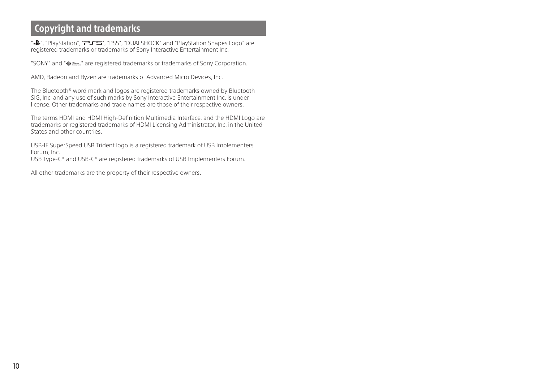# <span id="page-9-0"></span>Copyright and trademarks

" $\&$ ", "PlayStation", " $\rightarrow$  5", "PS5", "DUALSHOCK" and "PlayStation Shapes Logo" are registered trademarks or trademarks of Sony Interactive Entertainment Inc.

"SONY" and " $\bullet$  " are registered trademarks or trademarks of Sony Corporation.

AMD, Radeon and Ryzen are trademarks of Advanced Micro Devices, Inc.

The Bluetooth® word mark and logos are registered trademarks owned by Bluetooth SIG, Inc. and any use of such marks by Sony Interactive Entertainment Inc. is under license. Other trademarks and trade names are those of their respective owners.

The terms HDMI and HDMI High-Definition Multimedia Interface, and the HDMI Logo are trademarks or registered trademarks of HDMI Licensing Administrator, Inc. in the United States and other countries.

USB-IF SuperSpeed USB Trident logo is a registered trademark of USB Implementers Forum, Inc.

USB Type-C® and USB-C® are registered trademarks of USB Implementers Forum.

All other trademarks are the property of their respective owners.